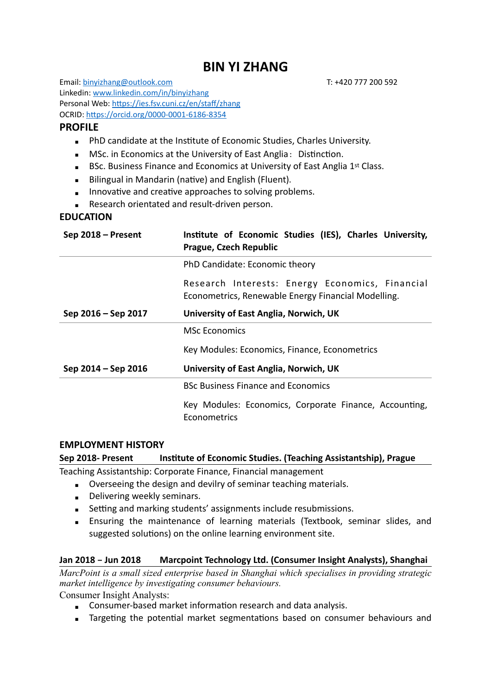# **BIN YI ZHANG**

Email: [binyizhang@outlook.com](mailto:binyizhang@outlook.com) T: +420 777 200 592 Linkedin: [www.linkedin.com/in/binyizhang](http://www.linkedin.com/in/binyizhang) Personal Web: <https://ies.fsv.cuni.cz/en/staff/zhang> OCRID: <https://orcid.org/0000-0001-6186-8354>

### **PROFILE**

- **EXECTE PhD candidate at the Institute of Economic Studies, Charles University.**
- **■** MSc. in Economics at the University of East Anglia: Distinction.
- BSc. Business Finance and Economics at University of East Anglia 1<sup>st</sup> Class.
- **E** Bilingual in Mandarin (native) and English (Fluent).
- **EXECUTE:** Innovative and creative approaches to solving problems.
- Research orientated and result-driven person.

### **EDUCATION**

| Sep 2018 – Present  | Institute of Economic Studies (IES), Charles University,<br>Prague, Czech Republic                     |
|---------------------|--------------------------------------------------------------------------------------------------------|
|                     | PhD Candidate: Economic theory                                                                         |
|                     | Research Interests: Energy Economics, Financial<br>Econometrics, Renewable Energy Financial Modelling. |
| Sep 2016 – Sep 2017 | University of East Anglia, Norwich, UK                                                                 |
|                     | <b>MSc Economics</b>                                                                                   |
|                     | Key Modules: Economics, Finance, Econometrics                                                          |
| Sep 2014 – Sep 2016 | University of East Anglia, Norwich, UK                                                                 |
|                     | <b>BSc Business Finance and Economics</b>                                                              |
|                     | Key Modules: Economics, Corporate Finance, Accounting,<br>Econometrics                                 |

#### **EMPLOYMENT HISTORY**

### **Sep 2018- Present Institute of Economic Studies. (Teaching Assistantship), Prague**

Teaching Assistantship: Corporate Finance, Financial management

- **EXECT** Overseeing the design and devilry of seminar teaching materials.
- **Delivering weekly seminars.**
- **EXECTE:** Setting and marking students' assignments include resubmissions.
- **E** Ensuring the maintenance of learning materials (Textbook, seminar slides, and suggested solutions) on the online learning environment site.

### **Jan 2018 – Jun 2018 Marcpoint Technology Ltd. (Consumer Insight Analysts), Shanghai**

*MarcPoint is a small sized enterprise based in Shanghai which specialises in providing strategic market intelligence by investigating consumer behaviours.*

Consumer Insight Analysts:

- Consumer-based market information research and data analysis.
- **EXECT** Targeting the potential market segmentations based on consumer behaviours and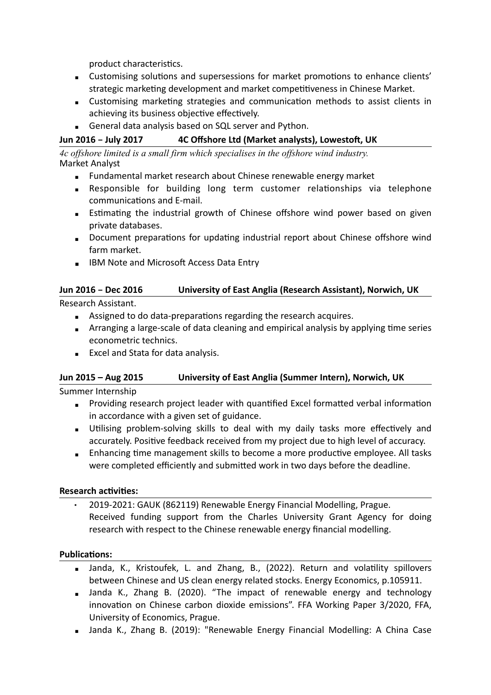product characteristics.

- Customising solutions and supersessions for market promotions to enhance clients' strategic marketing development and market competitiveness in Chinese Market.
- **EXECUSTER STRATE IS CUSTER** Customising marketing strategies and communication methods to assist clients in achieving its business objective effectively.
- **EXECUTE:** General data analysis based on SQL server and Python.

### **Jun 2016 – July 2017 4C Offshore Ltd (Market analysts), Lowestoft, UK**

*4c offshore limited is a small firm which specialises in the offshore wind industry.*  Market Analyst

- **EXECTED** Fundamental market research about Chinese renewable energy market
- **EXECTS Responsible for building long term customer relationships via telephone** communications and E-mail.
- **E** Estimating the industrial growth of Chinese offshore wind power based on given private databases.
- Document preparations for updating industrial report about Chinese offshore wind farm market.
- IBM Note and Microsoft Access Data Entry

# **Jun 2016 – Dec 2016 University of East Anglia (Research Assistant), Norwich, UK**

Research Assistant.

- Assigned to do data-preparations regarding the research acquires.
- **EXTER** Arranging a large-scale of data cleaning and empirical analysis by applying time series econometric technics.
- **Excel and Stata for data analysis.**

### **Jun 2015 – Aug 2015 University of East Anglia (Summer Intern), Norwich, UK**

Summer Internship

- Providing research project leader with quantified Excel formatted verbal information in accordance with a given set of guidance.
- **EXECT** Utilising problem-solving skills to deal with my daily tasks more effectively and accurately. Positive feedback received from my project due to high level of accuracy.
- **Enhancing time management skills to become a more productive employee. All tasks** were completed efficiently and submitted work in two days before the deadline.

### **Research activities:**

2019-2021: GAUK (862119) Renewable Energy Financial Modelling, Prague. Received funding support from the Charles University Grant Agency for doing research with respect to the Chinese renewable energy financial modelling.

### **Publications:**

- Janda, K., Kristoufek, L. and Zhang, B., (2022). Return and volatility spillovers between Chinese and US clean energy related stocks. Energy Economics, p.105911.
- **Example 2018** Janda K., Zhang B. (2020). "The impact of renewable energy and technology innovation on Chinese carbon dioxide emissions". FFA Working Paper 3/2020, FFA, University of Economics, Prague.
- **B** Janda K., Zhang B. (2019): "Renewable Energy Financial Modelling: A China Case